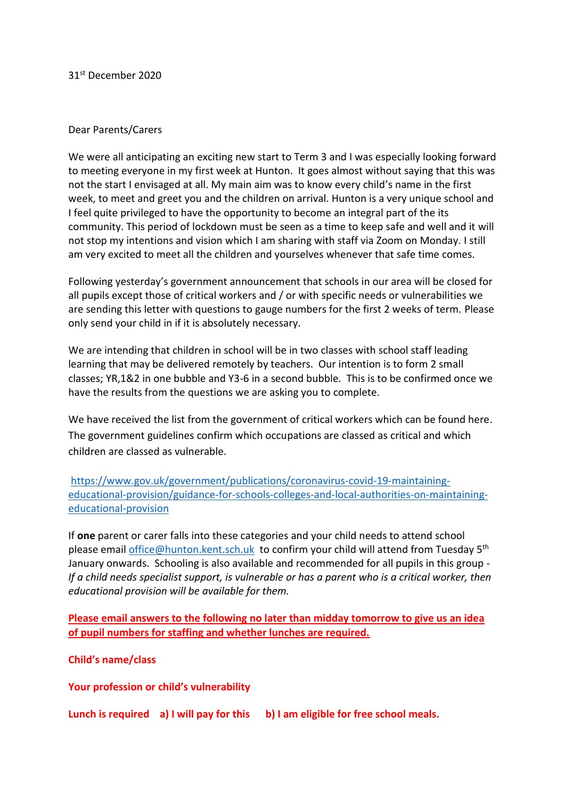31st December 2020

## Dear Parents/Carers

We were all anticipating an exciting new start to Term 3 and I was especially looking forward to meeting everyone in my first week at Hunton. It goes almost without saying that this was not the start I envisaged at all. My main aim was to know every child's name in the first week, to meet and greet you and the children on arrival. Hunton is a very unique school and I feel quite privileged to have the opportunity to become an integral part of the its community. This period of lockdown must be seen as a time to keep safe and well and it will not stop my intentions and vision which I am sharing with staff via Zoom on Monday. I still am very excited to meet all the children and yourselves whenever that safe time comes.

Following yesterday's government announcement that schools in our area will be closed for all pupils except those of critical workers and / or with specific needs or vulnerabilities we are sending this letter with questions to gauge numbers for the first 2 weeks of term. Please only send your child in if it is absolutely necessary.

We are intending that children in school will be in two classes with school staff leading learning that may be delivered remotely by teachers. Our intention is to form 2 small classes; YR,1&2 in one bubble and Y3-6 in a second bubble. This is to be confirmed once we have the results from the questions we are asking you to complete.

We have received the list from the government of critical workers which can be found here. The government guidelines confirm which occupations are classed as critical and which children are classed as vulnerable.

[https://www.gov.uk/government/publications/coronavirus-covid-19-maintaining](https://www.gov.uk/government/publications/coronavirus-covid-19-maintaining-educational-provision/guidance-for-schools-colleges-and-local-authorities-on-maintaining-educational-provision)[educational-provision/guidance-for-schools-colleges-and-local-authorities-on-maintaining](https://www.gov.uk/government/publications/coronavirus-covid-19-maintaining-educational-provision/guidance-for-schools-colleges-and-local-authorities-on-maintaining-educational-provision)[educational-provision](https://www.gov.uk/government/publications/coronavirus-covid-19-maintaining-educational-provision/guidance-for-schools-colleges-and-local-authorities-on-maintaining-educational-provision) 

If **one** parent or carer falls into these categories and your child needs to attend school please email *office@hunton.kent.sch.uk* to confirm your child will attend from Tuesday 5<sup>th</sup> January onwards. Schooling is also available and recommended for all pupils in this group - *If a child needs specialist support, is vulnerable or has a parent who is a critical worker, then educational provision will be available for them.*

**Please email answers to the following no later than midday tomorrow to give us an idea of pupil numbers for staffing and whether lunches are required.**

**Child's name/class**

**Your profession or child's vulnerability**

**Lunch is required a) I will pay for this b) I am eligible for free school meals.**